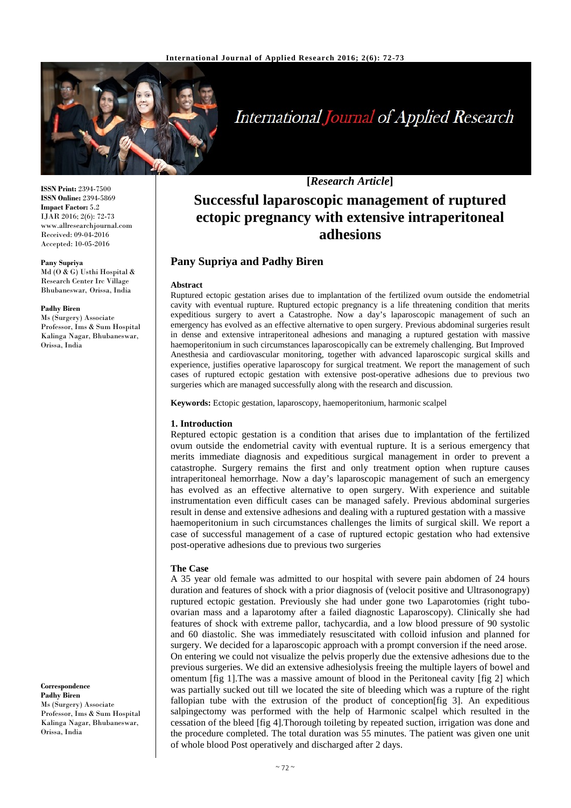

# **International Journal of Applied Research**

**ISSN Print:** 2394-7500 **ISSN Online:** 2394-5869 **Impact Factor:** 5.2 IJAR 2016; 2(6): 72-73 www.allresearchjournal.com Received: 09-04-2016 Accepted: 10-05-2016

#### **Pany Supriya**

Md (O & G) Usthi Hospital & Research Center Irc Village Bhubaneswar, Orissa, India

#### **Padhy Biren**

Ms (Surgery) Associate Professor, Ims & Sum Hospital Kalinga Nagar, Bhubaneswar, Orissa, India

**Correspondence Padhy Biren** Ms (Surgery) Associate Professor, Ims & Sum Hospital Kalinga Nagar, Bhubaneswar, Orissa, India

**[***Research Article***]**

# **Successful laparoscopic management of ruptured ectopic pregnancy with extensive intraperitoneal adhesions**

# **Pany Supriya and Padhy Biren**

#### **Abstract**

Ruptured ectopic gestation arises due to implantation of the fertilized ovum outside the endometrial cavity with eventual rupture. Ruptured ectopic pregnancy is a life threatening condition that merits expeditious surgery to avert a Catastrophe. Now a day's laparoscopic management of such an emergency has evolved as an effective alternative to open surgery. Previous abdominal surgeries result in dense and extensive intraperitoneal adhesions and managing a ruptured gestation with massive haemoperitonium in such circumstances laparoscopically can be extremely challenging. But Improved Anesthesia and cardiovascular monitoring, together with advanced laparoscopic surgical skills and experience, justifies operative laparoscopy for surgical treatment. We report the management of such cases of ruptured ectopic gestation with extensive post-operative adhesions due to previous two surgeries which are managed successfully along with the research and discussion.

**Keywords:** Ectopic gestation, laparoscopy, haemoperitonium, harmonic scalpel

## **1. Introduction**

Reptured ectopic gestation is a condition that arises due to implantation of the fertilized ovum outside the endometrial cavity with eventual rupture. It is a serious emergency that merits immediate diagnosis and expeditious surgical management in order to prevent a catastrophe. Surgery remains the first and only treatment option when rupture causes intraperitoneal hemorrhage. Now a day's laparoscopic management of such an emergency has evolved as an effective alternative to open surgery. With experience and suitable instrumentation even difficult cases can be managed safely. Previous abdominal surgeries result in dense and extensive adhesions and dealing with a ruptured gestation with a massive haemoperitonium in such circumstances challenges the limits of surgical skill. We report a case of successful management of a case of ruptured ectopic gestation who had extensive post-operative adhesions due to previous two surgeries

#### **The Case**

A 35 year old female was admitted to our hospital with severe pain abdomen of 24 hours duration and features of shock with a prior diagnosis of (velocit positive and Ultrasonograpy) ruptured ectopic gestation. Previously she had under gone two Laparotomies (right tuboovarian mass and a laparotomy after a failed diagnostic Laparoscopy). Clinically she had features of shock with extreme pallor, tachycardia, and a low blood pressure of 90 systolic and 60 diastolic. She was immediately resuscitated with colloid infusion and planned for surgery. We decided for a laparoscopic approach with a prompt conversion if the need arose. On entering we could not visualize the pelvis properly due the extensive adhesions due to the previous surgeries. We did an extensive adhesiolysis freeing the multiple layers of bowel and omentum [fig 1].The was a massive amount of blood in the Peritoneal cavity [fig 2] which was partially sucked out till we located the site of bleeding which was a rupture of the right fallopian tube with the extrusion of the product of conception[fig 3]. An expeditious salpingectomy was performed with the help of Harmonic scalpel which resulted in the cessation of the bleed [fig 4].Thorough toileting by repeated suction, irrigation was done and the procedure completed. The total duration was 55 minutes. The patient was given one unit of whole blood Post operatively and discharged after 2 days.